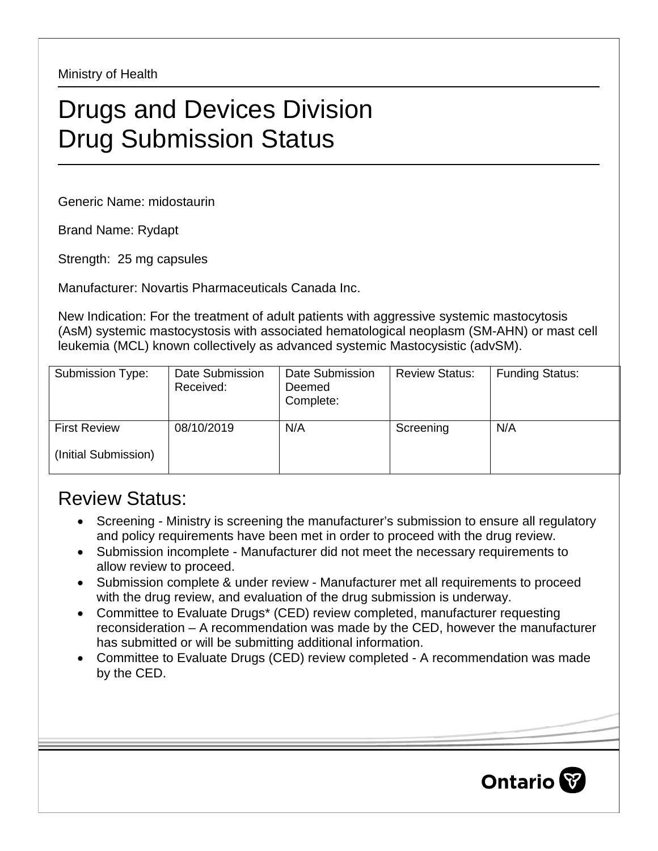Ministry of Health

## Drugs and Devices Division Drug Submission Status

Generic Name: midostaurin

Brand Name: Rydapt

Strength: 25 mg capsules

Manufacturer: Novartis Pharmaceuticals Canada Inc.

New Indication: For the treatment of adult patients with aggressive systemic mastocytosis (AsM) systemic mastocystosis with associated hematological neoplasm (SM-AHN) or mast cell leukemia (MCL) known collectively as advanced systemic Mastocysistic (advSM).

| Submission Type:     | Date Submission<br>Received: | Date Submission<br>Deemed<br>Complete: | <b>Review Status:</b> | <b>Funding Status:</b> |
|----------------------|------------------------------|----------------------------------------|-----------------------|------------------------|
| <b>First Review</b>  | 08/10/2019                   | N/A                                    | Screening             | N/A                    |
| (Initial Submission) |                              |                                        |                       |                        |

## Review Status:

- Screening Ministry is screening the manufacturer's submission to ensure all regulatory and policy requirements have been met in order to proceed with the drug review.
- Submission incomplete Manufacturer did not meet the necessary requirements to allow review to proceed.
- Submission complete & under review Manufacturer met all requirements to proceed with the drug review, and evaluation of the drug submission is underway.
- Committee to Evaluate Drugs\* (CED) review completed, manufacturer requesting reconsideration – A recommendation was made by the CED, however the manufacturer has submitted or will be submitting additional information.
- Committee to Evaluate Drugs (CED) review completed A recommendation was made by the CED.